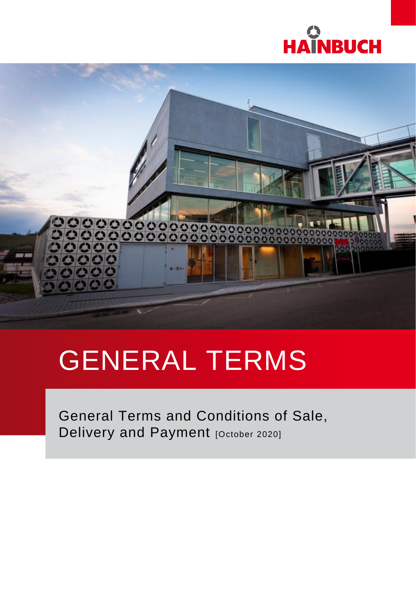



# GENERAL TERMS

General Terms and Conditions of Sale, Delivery and Payment [October 2020]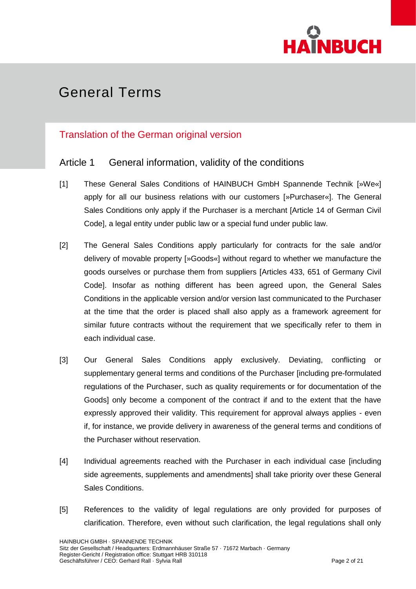

### Translation of the German original version

### Article 1 General information, validity of the conditions

- [1] These General Sales Conditions of HAINBUCH GmbH Spannende Technik [»We«] apply for all our business relations with our customers [»Purchaser«]. The General Sales Conditions only apply if the Purchaser is a merchant [Article 14 of German Civil Code], a legal entity under public law or a special fund under public law.
- [2] The General Sales Conditions apply particularly for contracts for the sale and/or delivery of movable property [»Goods«] without regard to whether we manufacture the goods ourselves or purchase them from suppliers [Articles 433, 651 of Germany Civil Code]. Insofar as nothing different has been agreed upon, the General Sales Conditions in the applicable version and/or version last communicated to the Purchaser at the time that the order is placed shall also apply as a framework agreement for similar future contracts without the requirement that we specifically refer to them in each individual case.
- [3] Our General Sales Conditions apply exclusively. Deviating, conflicting or supplementary general terms and conditions of the Purchaser [including pre-formulated regulations of the Purchaser, such as quality requirements or for documentation of the Goods] only become a component of the contract if and to the extent that the have expressly approved their validity. This requirement for approval always applies - even if, for instance, we provide delivery in awareness of the general terms and conditions of the Purchaser without reservation.
- [4] Individual agreements reached with the Purchaser in each individual case [including side agreements, supplements and amendments] shall take priority over these General Sales Conditions.
- [5] References to the validity of legal regulations are only provided for purposes of clarification. Therefore, even without such clarification, the legal regulations shall only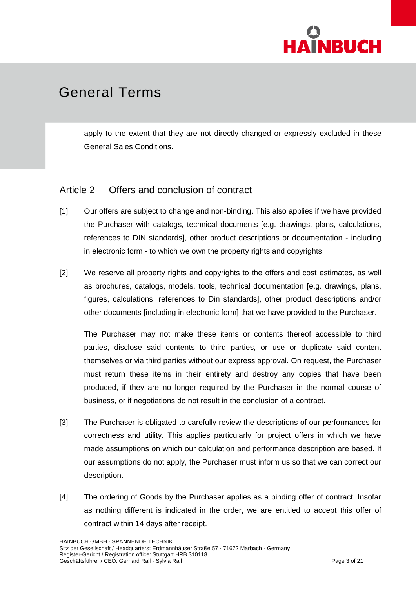

apply to the extent that they are not directly changed or expressly excluded in these General Sales Conditions.

### Article 2 Offers and conclusion of contract

- [1] Our offers are subject to change and non-binding. This also applies if we have provided the Purchaser with catalogs, technical documents [e.g. drawings, plans, calculations, references to DIN standards], other product descriptions or documentation - including in electronic form - to which we own the property rights and copyrights.
- [2] We reserve all property rights and copyrights to the offers and cost estimates, as well as brochures, catalogs, models, tools, technical documentation [e.g. drawings, plans, figures, calculations, references to Din standards], other product descriptions and/or other documents [including in electronic form] that we have provided to the Purchaser.

The Purchaser may not make these items or contents thereof accessible to third parties, disclose said contents to third parties, or use or duplicate said content themselves or via third parties without our express approval. On request, the Purchaser must return these items in their entirety and destroy any copies that have been produced, if they are no longer required by the Purchaser in the normal course of business, or if negotiations do not result in the conclusion of a contract.

- [3] The Purchaser is obligated to carefully review the descriptions of our performances for correctness and utility. This applies particularly for project offers in which we have made assumptions on which our calculation and performance description are based. If our assumptions do not apply, the Purchaser must inform us so that we can correct our description.
- [4] The ordering of Goods by the Purchaser applies as a binding offer of contract. Insofar as nothing different is indicated in the order, we are entitled to accept this offer of contract within 14 days after receipt.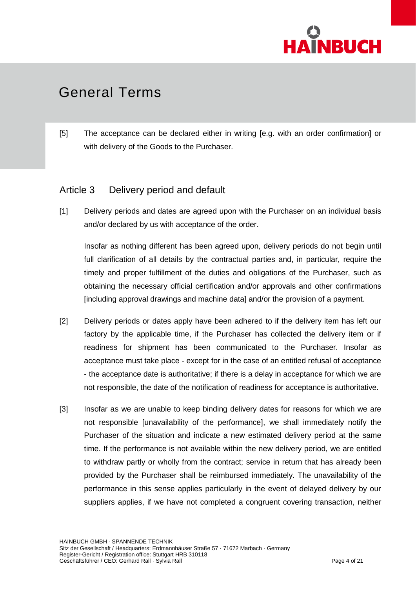

[5] The acceptance can be declared either in writing [e.g. with an order confirmation] or with delivery of the Goods to the Purchaser.

### Article 3 Delivery period and default

[1] Delivery periods and dates are agreed upon with the Purchaser on an individual basis and/or declared by us with acceptance of the order.

Insofar as nothing different has been agreed upon, delivery periods do not begin until full clarification of all details by the contractual parties and, in particular, require the timely and proper fulfillment of the duties and obligations of the Purchaser, such as obtaining the necessary official certification and/or approvals and other confirmations [including approval drawings and machine data] and/or the provision of a payment.

- [2] Delivery periods or dates apply have been adhered to if the delivery item has left our factory by the applicable time, if the Purchaser has collected the delivery item or if readiness for shipment has been communicated to the Purchaser. Insofar as acceptance must take place - except for in the case of an entitled refusal of acceptance - the acceptance date is authoritative; if there is a delay in acceptance for which we are not responsible, the date of the notification of readiness for acceptance is authoritative.
- [3] Insofar as we are unable to keep binding delivery dates for reasons for which we are not responsible [unavailability of the performance], we shall immediately notify the Purchaser of the situation and indicate a new estimated delivery period at the same time. If the performance is not available within the new delivery period, we are entitled to withdraw partly or wholly from the contract; service in return that has already been provided by the Purchaser shall be reimbursed immediately. The unavailability of the performance in this sense applies particularly in the event of delayed delivery by our suppliers applies, if we have not completed a congruent covering transaction, neither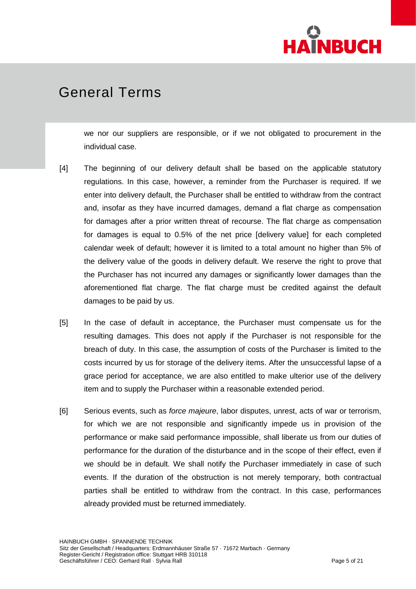

we nor our suppliers are responsible, or if we not obligated to procurement in the individual case.

- [4] The beginning of our delivery default shall be based on the applicable statutory regulations. In this case, however, a reminder from the Purchaser is required. If we enter into delivery default, the Purchaser shall be entitled to withdraw from the contract and, insofar as they have incurred damages, demand a flat charge as compensation for damages after a prior written threat of recourse. The flat charge as compensation for damages is equal to 0.5% of the net price [delivery value] for each completed calendar week of default; however it is limited to a total amount no higher than 5% of the delivery value of the goods in delivery default. We reserve the right to prove that the Purchaser has not incurred any damages or significantly lower damages than the aforementioned flat charge. The flat charge must be credited against the default damages to be paid by us.
- [5] In the case of default in acceptance, the Purchaser must compensate us for the resulting damages. This does not apply if the Purchaser is not responsible for the breach of duty. In this case, the assumption of costs of the Purchaser is limited to the costs incurred by us for storage of the delivery items. After the unsuccessful lapse of a grace period for acceptance, we are also entitled to make ulterior use of the delivery item and to supply the Purchaser within a reasonable extended period.
- [6] Serious events, such as *force majeure*, labor disputes, unrest, acts of war or terrorism, for which we are not responsible and significantly impede us in provision of the performance or make said performance impossible, shall liberate us from our duties of performance for the duration of the disturbance and in the scope of their effect, even if we should be in default. We shall notify the Purchaser immediately in case of such events. If the duration of the obstruction is not merely temporary, both contractual parties shall be entitled to withdraw from the contract. In this case, performances already provided must be returned immediately.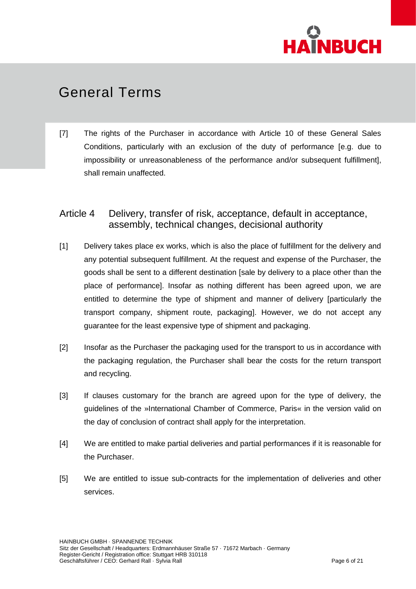

[7] The rights of the Purchaser in accordance with Article 10 of these General Sales Conditions, particularly with an exclusion of the duty of performance [e.g. due to impossibility or unreasonableness of the performance and/or subsequent fulfillment], shall remain unaffected.

### Article 4 Delivery, transfer of risk, acceptance, default in acceptance, assembly, technical changes, decisional authority

- [1] Delivery takes place ex works, which is also the place of fulfillment for the delivery and any potential subsequent fulfillment. At the request and expense of the Purchaser, the goods shall be sent to a different destination [sale by delivery to a place other than the place of performance]. Insofar as nothing different has been agreed upon, we are entitled to determine the type of shipment and manner of delivery [particularly the transport company, shipment route, packaging]. However, we do not accept any guarantee for the least expensive type of shipment and packaging.
- [2] Insofar as the Purchaser the packaging used for the transport to us in accordance with the packaging regulation, the Purchaser shall bear the costs for the return transport and recycling.
- [3] If clauses customary for the branch are agreed upon for the type of delivery, the guidelines of the »International Chamber of Commerce, Paris« in the version valid on the day of conclusion of contract shall apply for the interpretation.
- [4] We are entitled to make partial deliveries and partial performances if it is reasonable for the Purchaser.
- [5] We are entitled to issue sub-contracts for the implementation of deliveries and other services.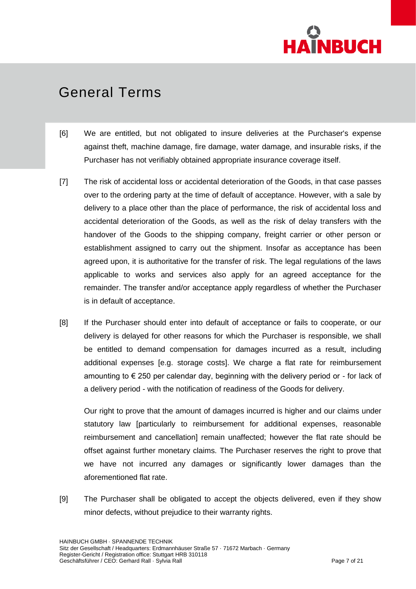

- [6] We are entitled, but not obligated to insure deliveries at the Purchaser's expense against theft, machine damage, fire damage, water damage, and insurable risks, if the Purchaser has not verifiably obtained appropriate insurance coverage itself.
- [7] The risk of accidental loss or accidental deterioration of the Goods, in that case passes over to the ordering party at the time of default of acceptance. However, with a sale by delivery to a place other than the place of performance, the risk of accidental loss and accidental deterioration of the Goods, as well as the risk of delay transfers with the handover of the Goods to the shipping company, freight carrier or other person or establishment assigned to carry out the shipment. Insofar as acceptance has been agreed upon, it is authoritative for the transfer of risk. The legal regulations of the laws applicable to works and services also apply for an agreed acceptance for the remainder. The transfer and/or acceptance apply regardless of whether the Purchaser is in default of acceptance.
- [8] If the Purchaser should enter into default of acceptance or fails to cooperate, or our delivery is delayed for other reasons for which the Purchaser is responsible, we shall be entitled to demand compensation for damages incurred as a result, including additional expenses [e.g. storage costs]. We charge a flat rate for reimbursement amounting to  $\epsilon$  250 per calendar day, beginning with the delivery period or - for lack of a delivery period - with the notification of readiness of the Goods for delivery.

Our right to prove that the amount of damages incurred is higher and our claims under statutory law [particularly to reimbursement for additional expenses, reasonable reimbursement and cancellation] remain unaffected; however the flat rate should be offset against further monetary claims. The Purchaser reserves the right to prove that we have not incurred any damages or significantly lower damages than the aforementioned flat rate.

[9] The Purchaser shall be obligated to accept the objects delivered, even if they show minor defects, without prejudice to their warranty rights.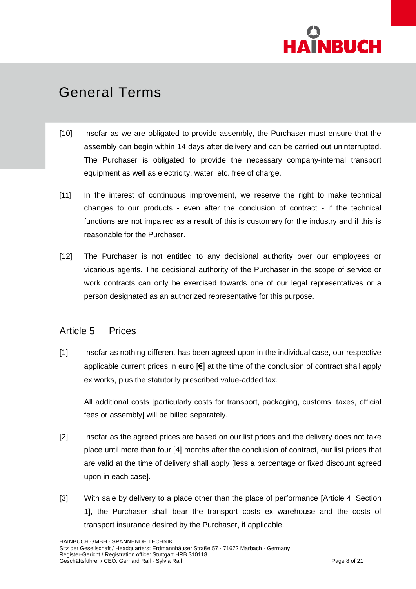

- [10] Insofar as we are obligated to provide assembly, the Purchaser must ensure that the assembly can begin within 14 days after delivery and can be carried out uninterrupted. The Purchaser is obligated to provide the necessary company-internal transport equipment as well as electricity, water, etc. free of charge.
- [11] In the interest of continuous improvement, we reserve the right to make technical changes to our products - even after the conclusion of contract - if the technical functions are not impaired as a result of this is customary for the industry and if this is reasonable for the Purchaser.
- [12] The Purchaser is not entitled to any decisional authority over our employees or vicarious agents. The decisional authority of the Purchaser in the scope of service or work contracts can only be exercised towards one of our legal representatives or a person designated as an authorized representative for this purpose.

### Article 5 Prices

[1] Insofar as nothing different has been agreed upon in the individual case, our respective applicable current prices in euro [€] at the time of the conclusion of contract shall apply ex works, plus the statutorily prescribed value-added tax.

All additional costs [particularly costs for transport, packaging, customs, taxes, official fees or assembly] will be billed separately.

- [2] Insofar as the agreed prices are based on our list prices and the delivery does not take place until more than four [4] months after the conclusion of contract, our list prices that are valid at the time of delivery shall apply [less a percentage or fixed discount agreed upon in each case].
- [3] With sale by delivery to a place other than the place of performance [Article 4, Section 1], the Purchaser shall bear the transport costs ex warehouse and the costs of transport insurance desired by the Purchaser, if applicable.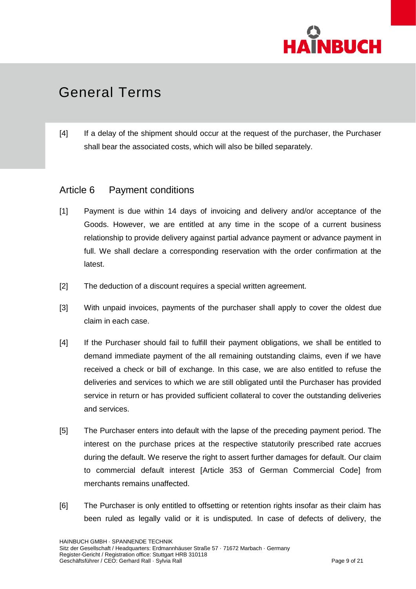

[4] If a delay of the shipment should occur at the request of the purchaser, the Purchaser shall bear the associated costs, which will also be billed separately.

### Article 6 Payment conditions

- [1] Payment is due within 14 days of invoicing and delivery and/or acceptance of the Goods. However, we are entitled at any time in the scope of a current business relationship to provide delivery against partial advance payment or advance payment in full. We shall declare a corresponding reservation with the order confirmation at the latest.
- [2] The deduction of a discount requires a special written agreement.
- [3] With unpaid invoices, payments of the purchaser shall apply to cover the oldest due claim in each case.
- [4] If the Purchaser should fail to fulfill their payment obligations, we shall be entitled to demand immediate payment of the all remaining outstanding claims, even if we have received a check or bill of exchange. In this case, we are also entitled to refuse the deliveries and services to which we are still obligated until the Purchaser has provided service in return or has provided sufficient collateral to cover the outstanding deliveries and services.
- [5] The Purchaser enters into default with the lapse of the preceding payment period. The interest on the purchase prices at the respective statutorily prescribed rate accrues during the default. We reserve the right to assert further damages for default. Our claim to commercial default interest [Article 353 of German Commercial Code] from merchants remains unaffected.
- [6] The Purchaser is only entitled to offsetting or retention rights insofar as their claim has been ruled as legally valid or it is undisputed. In case of defects of delivery, the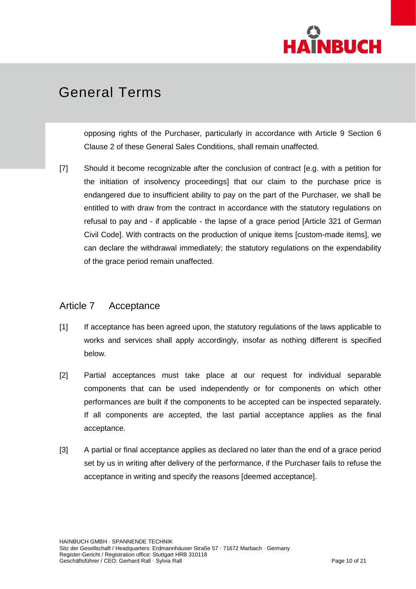

opposing rights of the Purchaser, particularly in accordance with Article 9 Section 6 Clause 2 of these General Sales Conditions, shall remain unaffected.

[7] Should it become recognizable after the conclusion of contract [e.g. with a petition for the initiation of insolvency proceedings] that our claim to the purchase price is endangered due to insufficient ability to pay on the part of the Purchaser, we shall be entitled to with draw from the contract in accordance with the statutory regulations on refusal to pay and - if applicable - the lapse of a grace period [Article 321 of German Civil Code]. With contracts on the production of unique items [custom-made items], we can declare the withdrawal immediately; the statutory regulations on the expendability of the grace period remain unaffected.

### Article 7 Acceptance

- [1] If acceptance has been agreed upon, the statutory regulations of the laws applicable to works and services shall apply accordingly, insofar as nothing different is specified below.
- [2] Partial acceptances must take place at our request for individual separable components that can be used independently or for components on which other performances are built if the components to be accepted can be inspected separately. If all components are accepted, the last partial acceptance applies as the final acceptance.
- [3] A partial or final acceptance applies as declared no later than the end of a grace period set by us in writing after delivery of the performance, if the Purchaser fails to refuse the acceptance in writing and specify the reasons [deemed acceptance].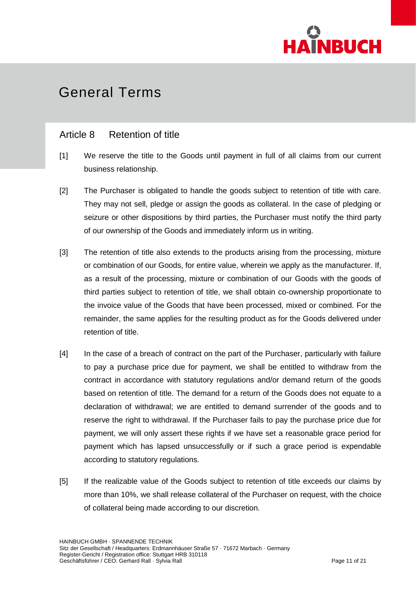

### Article 8 Retention of title

- [1] We reserve the title to the Goods until payment in full of all claims from our current business relationship.
- [2] The Purchaser is obligated to handle the goods subject to retention of title with care. They may not sell, pledge or assign the goods as collateral. In the case of pledging or seizure or other dispositions by third parties, the Purchaser must notify the third party of our ownership of the Goods and immediately inform us in writing.
- [3] The retention of title also extends to the products arising from the processing, mixture or combination of our Goods, for entire value, wherein we apply as the manufacturer. If, as a result of the processing, mixture or combination of our Goods with the goods of third parties subject to retention of title, we shall obtain co-ownership proportionate to the invoice value of the Goods that have been processed, mixed or combined. For the remainder, the same applies for the resulting product as for the Goods delivered under retention of title.
- [4] In the case of a breach of contract on the part of the Purchaser, particularly with failure to pay a purchase price due for payment, we shall be entitled to withdraw from the contract in accordance with statutory regulations and/or demand return of the goods based on retention of title. The demand for a return of the Goods does not equate to a declaration of withdrawal; we are entitled to demand surrender of the goods and to reserve the right to withdrawal. If the Purchaser fails to pay the purchase price due for payment, we will only assert these rights if we have set a reasonable grace period for payment which has lapsed unsuccessfully or if such a grace period is expendable according to statutory regulations.
- [5] If the realizable value of the Goods subject to retention of title exceeds our claims by more than 10%, we shall release collateral of the Purchaser on request, with the choice of collateral being made according to our discretion.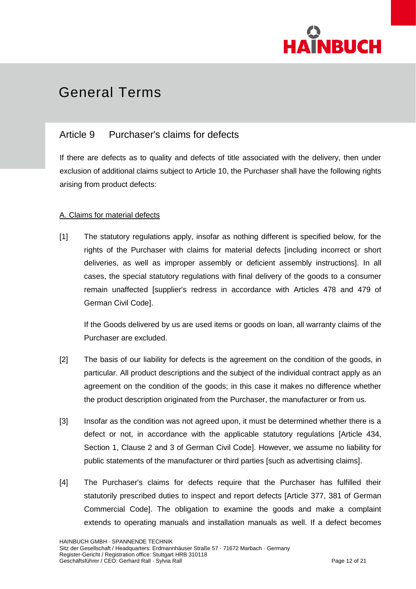

### Article 9 Purchaser's claims for defects

If there are defects as to quality and defects of title associated with the delivery, then under exclusion of additional claims subject to Article 10, the Purchaser shall have the following rights arising from product defects:

#### A. Claims for material defects

[1] The statutory regulations apply, insofar as nothing different is specified below, for the rights of the Purchaser with claims for material defects [including incorrect or short deliveries, as well as improper assembly or deficient assembly instructions]. In all cases, the special statutory regulations with final delivery of the goods to a consumer remain unaffected [supplier's redress in accordance with Articles 478 and 479 of German Civil Code].

If the Goods delivered by us are used items or goods on loan, all warranty claims of the Purchaser are excluded.

- [2] The basis of our liability for defects is the agreement on the condition of the goods, in particular. All product descriptions and the subject of the individual contract apply as an agreement on the condition of the goods; in this case it makes no difference whether the product description originated from the Purchaser, the manufacturer or from us.
- [3] Insofar as the condition was not agreed upon, it must be determined whether there is a defect or not, in accordance with the applicable statutory regulations [Article 434, Section 1, Clause 2 and 3 of German Civil Code]. However, we assume no liability for public statements of the manufacturer or third parties [such as advertising claims].
- [4] The Purchaser's claims for defects require that the Purchaser has fulfilled their statutorily prescribed duties to inspect and report defects [Article 377, 381 of German Commercial Code]. The obligation to examine the goods and make a complaint extends to operating manuals and installation manuals as well. If a defect becomes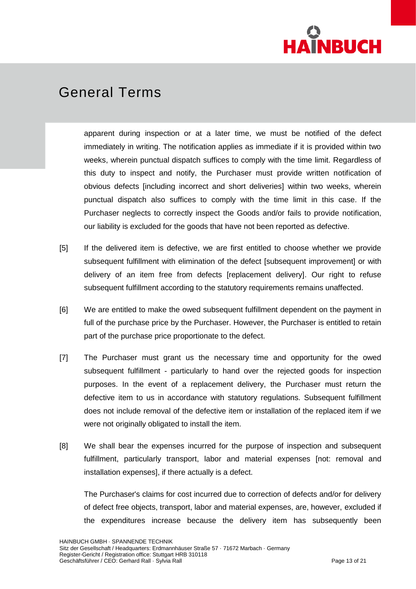

apparent during inspection or at a later time, we must be notified of the defect immediately in writing. The notification applies as immediate if it is provided within two weeks, wherein punctual dispatch suffices to comply with the time limit. Regardless of this duty to inspect and notify, the Purchaser must provide written notification of obvious defects [including incorrect and short deliveries] within two weeks, wherein punctual dispatch also suffices to comply with the time limit in this case. If the Purchaser neglects to correctly inspect the Goods and/or fails to provide notification, our liability is excluded for the goods that have not been reported as defective.

- [5] If the delivered item is defective, we are first entitled to choose whether we provide subsequent fulfillment with elimination of the defect [subsequent improvement] or with delivery of an item free from defects [replacement delivery]. Our right to refuse subsequent fulfillment according to the statutory requirements remains unaffected.
- [6] We are entitled to make the owed subsequent fulfillment dependent on the payment in full of the purchase price by the Purchaser. However, the Purchaser is entitled to retain part of the purchase price proportionate to the defect.
- [7] The Purchaser must grant us the necessary time and opportunity for the owed subsequent fulfillment - particularly to hand over the rejected goods for inspection purposes. In the event of a replacement delivery, the Purchaser must return the defective item to us in accordance with statutory regulations. Subsequent fulfillment does not include removal of the defective item or installation of the replaced item if we were not originally obligated to install the item.
- [8] We shall bear the expenses incurred for the purpose of inspection and subsequent fulfillment, particularly transport, labor and material expenses [not: removal and installation expenses], if there actually is a defect.

The Purchaser's claims for cost incurred due to correction of defects and/or for delivery of defect free objects, transport, labor and material expenses, are, however, excluded if the expenditures increase because the delivery item has subsequently been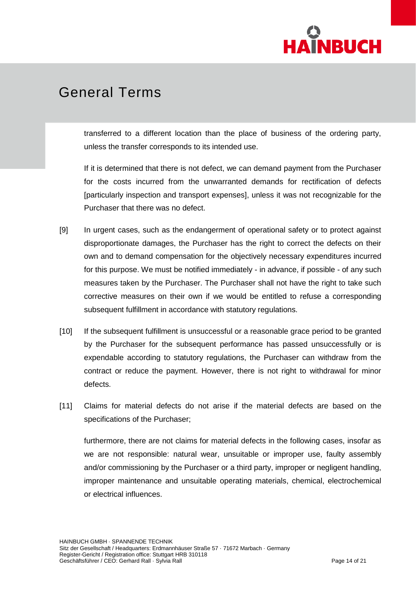

transferred to a different location than the place of business of the ordering party, unless the transfer corresponds to its intended use.

If it is determined that there is not defect, we can demand payment from the Purchaser for the costs incurred from the unwarranted demands for rectification of defects [particularly inspection and transport expenses], unless it was not recognizable for the Purchaser that there was no defect.

- [9] In urgent cases, such as the endangerment of operational safety or to protect against disproportionate damages, the Purchaser has the right to correct the defects on their own and to demand compensation for the objectively necessary expenditures incurred for this purpose. We must be notified immediately - in advance, if possible - of any such measures taken by the Purchaser. The Purchaser shall not have the right to take such corrective measures on their own if we would be entitled to refuse a corresponding subsequent fulfillment in accordance with statutory regulations.
- [10] If the subsequent fulfillment is unsuccessful or a reasonable grace period to be granted by the Purchaser for the subsequent performance has passed unsuccessfully or is expendable according to statutory regulations, the Purchaser can withdraw from the contract or reduce the payment. However, there is not right to withdrawal for minor defects.
- [11] Claims for material defects do not arise if the material defects are based on the specifications of the Purchaser;

furthermore, there are not claims for material defects in the following cases, insofar as we are not responsible: natural wear, unsuitable or improper use, faulty assembly and/or commissioning by the Purchaser or a third party, improper or negligent handling, improper maintenance and unsuitable operating materials, chemical, electrochemical or electrical influences.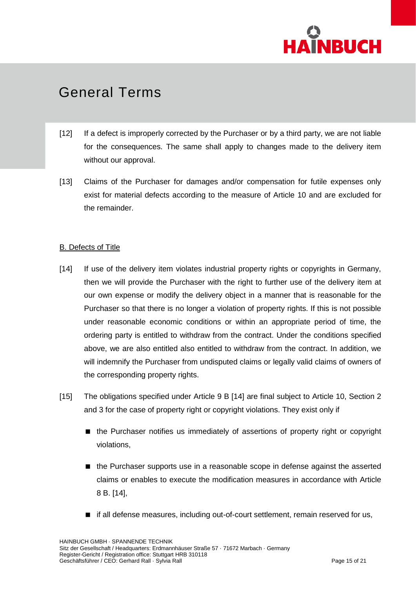

- [12] If a defect is improperly corrected by the Purchaser or by a third party, we are not liable for the consequences. The same shall apply to changes made to the delivery item without our approval.
- [13] Claims of the Purchaser for damages and/or compensation for futile expenses only exist for material defects according to the measure of Article 10 and are excluded for the remainder.

#### B. Defects of Title

- [14] If use of the delivery item violates industrial property rights or copyrights in Germany, then we will provide the Purchaser with the right to further use of the delivery item at our own expense or modify the delivery object in a manner that is reasonable for the Purchaser so that there is no longer a violation of property rights. If this is not possible under reasonable economic conditions or within an appropriate period of time, the ordering party is entitled to withdraw from the contract. Under the conditions specified above, we are also entitled also entitled to withdraw from the contract. In addition, we will indemnify the Purchaser from undisputed claims or legally valid claims of owners of the corresponding property rights.
- [15] The obligations specified under Article 9 B [14] are final subject to Article 10, Section 2 and 3 for the case of property right or copyright violations. They exist only if
	- the Purchaser notifies us immediately of assertions of property right or copyright violations,
	- the Purchaser supports use in a reasonable scope in defense against the asserted claims or enables to execute the modification measures in accordance with Article 8 B. [14],
	- $\blacksquare$  if all defense measures, including out-of-court settlement, remain reserved for us,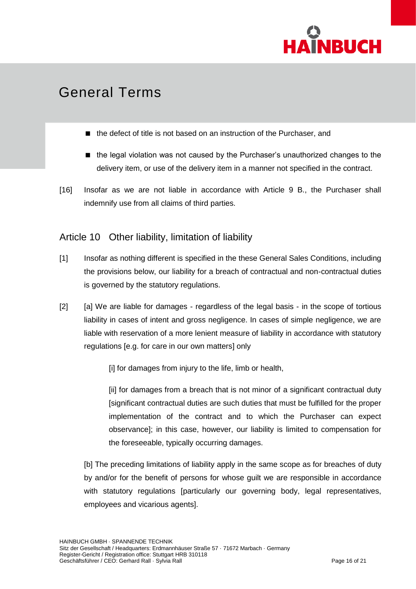

- the defect of title is not based on an instruction of the Purchaser, and
- the legal violation was not caused by the Purchaser's unauthorized changes to the delivery item, or use of the delivery item in a manner not specified in the contract.
- [16] Insofar as we are not liable in accordance with Article 9 B., the Purchaser shall indemnify use from all claims of third parties.

### Article 10 Other liability, limitation of liability

- [1] Insofar as nothing different is specified in the these General Sales Conditions, including the provisions below, our liability for a breach of contractual and non-contractual duties is governed by the statutory regulations.
- [2] [a] We are liable for damages regardless of the legal basis in the scope of tortious liability in cases of intent and gross negligence. In cases of simple negligence, we are liable with reservation of a more lenient measure of liability in accordance with statutory regulations [e.g. for care in our own matters] only

[i] for damages from injury to the life, limb or health,

[ii] for damages from a breach that is not minor of a significant contractual duty [significant contractual duties are such duties that must be fulfilled for the proper implementation of the contract and to which the Purchaser can expect observance]; in this case, however, our liability is limited to compensation for the foreseeable, typically occurring damages.

[b] The preceding limitations of liability apply in the same scope as for breaches of duty by and/or for the benefit of persons for whose guilt we are responsible in accordance with statutory regulations [particularly our governing body, legal representatives, employees and vicarious agents].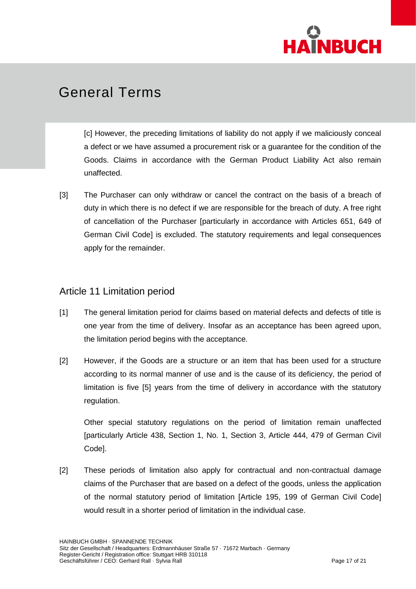

[c] However, the preceding limitations of liability do not apply if we maliciously conceal a defect or we have assumed a procurement risk or a guarantee for the condition of the Goods. Claims in accordance with the German Product Liability Act also remain unaffected.

[3] The Purchaser can only withdraw or cancel the contract on the basis of a breach of duty in which there is no defect if we are responsible for the breach of duty. A free right of cancellation of the Purchaser [particularly in accordance with Articles 651, 649 of German Civil Code] is excluded. The statutory requirements and legal consequences apply for the remainder.

### Article 11 Limitation period

- [1] The general limitation period for claims based on material defects and defects of title is one year from the time of delivery. Insofar as an acceptance has been agreed upon, the limitation period begins with the acceptance.
- [2] However, if the Goods are a structure or an item that has been used for a structure according to its normal manner of use and is the cause of its deficiency, the period of limitation is five [5] years from the time of delivery in accordance with the statutory regulation.

Other special statutory regulations on the period of limitation remain unaffected [particularly Article 438, Section 1, No. 1, Section 3, Article 444, 479 of German Civil Code].

[2] These periods of limitation also apply for contractual and non-contractual damage claims of the Purchaser that are based on a defect of the goods, unless the application of the normal statutory period of limitation [Article 195, 199 of German Civil Code] would result in a shorter period of limitation in the individual case.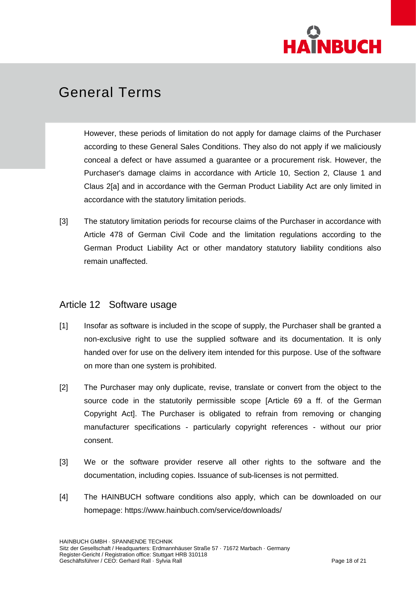

However, these periods of limitation do not apply for damage claims of the Purchaser according to these General Sales Conditions. They also do not apply if we maliciously conceal a defect or have assumed a guarantee or a procurement risk. However, the Purchaser's damage claims in accordance with Article 10, Section 2, Clause 1 and Claus 2[a] and in accordance with the German Product Liability Act are only limited in accordance with the statutory limitation periods.

[3] The statutory limitation periods for recourse claims of the Purchaser in accordance with Article 478 of German Civil Code and the limitation regulations according to the German Product Liability Act or other mandatory statutory liability conditions also remain unaffected.

### Article 12 Software usage

- [1] Insofar as software is included in the scope of supply, the Purchaser shall be granted a non-exclusive right to use the supplied software and its documentation. It is only handed over for use on the delivery item intended for this purpose. Use of the software on more than one system is prohibited.
- [2] The Purchaser may only duplicate, revise, translate or convert from the object to the source code in the statutorily permissible scope [Article 69 a ff. of the German Copyright Act]. The Purchaser is obligated to refrain from removing or changing manufacturer specifications - particularly copyright references - without our prior consent.
- [3] We or the software provider reserve all other rights to the software and the documentation, including copies. Issuance of sub-licenses is not permitted.
- [4] The HAINBUCH software conditions also apply, which can be downloaded on our homepage: https://www.hainbuch.com/service/downloads/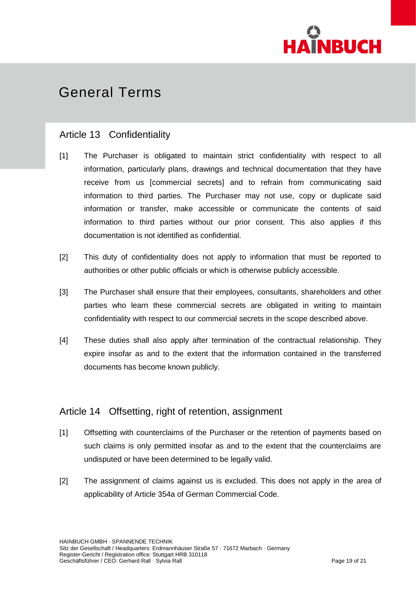

### Article 13 Confidentiality

- [1] The Purchaser is obligated to maintain strict confidentiality with respect to all information, particularly plans, drawings and technical documentation that they have receive from us [commercial secrets] and to refrain from communicating said information to third parties. The Purchaser may not use, copy or duplicate said information or transfer, make accessible or communicate the contents of said information to third parties without our prior consent. This also applies if this documentation is not identified as confidential.
- [2] This duty of confidentiality does not apply to information that must be reported to authorities or other public officials or which is otherwise publicly accessible.
- [3] The Purchaser shall ensure that their employees, consultants, shareholders and other parties who learn these commercial secrets are obligated in writing to maintain confidentiality with respect to our commercial secrets in the scope described above.
- [4] These duties shall also apply after termination of the contractual relationship. They expire insofar as and to the extent that the information contained in the transferred documents has become known publicly.

### Article 14 Offsetting, right of retention, assignment

- [1] Offsetting with counterclaims of the Purchaser or the retention of payments based on such claims is only permitted insofar as and to the extent that the counterclaims are undisputed or have been determined to be legally valid.
- [2] The assignment of claims against us is excluded. This does not apply in the area of applicability of Article 354a of German Commercial Code.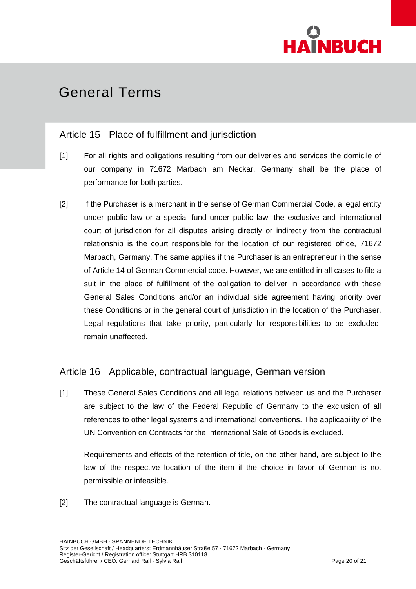

### Article 15 Place of fulfillment and jurisdiction

- [1] For all rights and obligations resulting from our deliveries and services the domicile of our company in 71672 Marbach am Neckar, Germany shall be the place of performance for both parties.
- [2] If the Purchaser is a merchant in the sense of German Commercial Code, a legal entity under public law or a special fund under public law, the exclusive and international court of jurisdiction for all disputes arising directly or indirectly from the contractual relationship is the court responsible for the location of our registered office, 71672 Marbach, Germany. The same applies if the Purchaser is an entrepreneur in the sense of Article 14 of German Commercial code. However, we are entitled in all cases to file a suit in the place of fulfillment of the obligation to deliver in accordance with these General Sales Conditions and/or an individual side agreement having priority over these Conditions or in the general court of jurisdiction in the location of the Purchaser. Legal regulations that take priority, particularly for responsibilities to be excluded, remain unaffected.

### Article 16 Applicable, contractual language, German version

[1] These General Sales Conditions and all legal relations between us and the Purchaser are subject to the law of the Federal Republic of Germany to the exclusion of all references to other legal systems and international conventions. The applicability of the UN Convention on Contracts for the International Sale of Goods is excluded.

Requirements and effects of the retention of title, on the other hand, are subject to the law of the respective location of the item if the choice in favor of German is not permissible or infeasible.

[2] The contractual language is German.